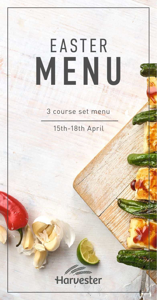# EASTER MENU

3 course set menu

15th-18th April



78244/HAR/MENU/ALL